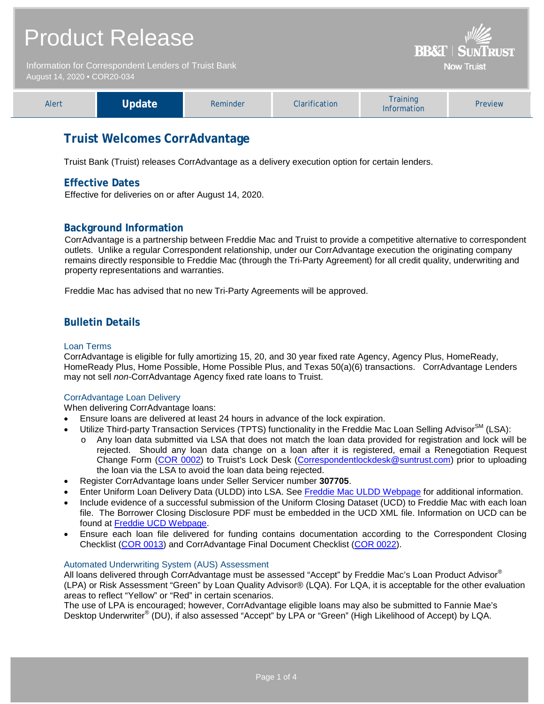## Product Release **BB&T | SUN** Information for Correspondent Lenders of Truist Bank **Now Truist** August 14, 2020 **•** COR20-034 Training<br>
Information Preview Alert **Update** Reminder Clarification Training

## **Truist Welcomes CorrAdvantage**

Truist Bank (Truist) releases CorrAdvantage as a delivery execution option for certain lenders.

## **Effective Dates**

Effective for deliveries on or after August 14, 2020.

## **Background Information**

CorrAdvantage is a partnership between Freddie Mac and Truist to provide a competitive alternative to correspondent outlets. Unlike a regular Correspondent relationship, under our CorrAdvantage execution the originating company remains directly responsible to Freddie Mac (through the Tri-Party Agreement) for all credit quality, underwriting and property representations and warranties.

Freddie Mac has advised that no new Tri-Party Agreements will be approved.

## **Bulletin Details**

#### Loan Terms

CorrAdvantage is eligible for fully amortizing 15, 20, and 30 year fixed rate Agency, Agency Plus, HomeReady, HomeReady Plus, Home Possible, Home Possible Plus, and Texas 50(a)(6) transactions. CorrAdvantage Lenders may not sell *non-*CorrAdvantage Agency fixed rate loans to Truist.

#### CorrAdvantage Loan Delivery

When delivering CorrAdvantage loans:

- Ensure loans are delivered at least 24 hours in advance of the lock expiration.
- Utilize Third-party Transaction Services (TPTS) functionality in the Freddie Mac Loan Selling Advisor $^{SM}$  (LSA):
	- o Any loan data submitted via LSA that does not match the loan data provided for registration and lock will be rejected. Should any loan data change on a loan after it is registered, email a Renegotiation Request Change Form [\(COR 0002\)](http://www.truistsellerguide.com/manual/cor/forms/COR0002.pdf) to Truist's Lock Desk (Correspondentlockdesk@suntrust.com) prior to uploading the loan via the LSA to avoid the loan data being rejected.
- Register CorrAdvantage loans under Seller Servicer number **307705**.
- Enter Uniform Loan Delivery Data (ULDD) into LSA. See [Freddie Mac ULDD Webpage](https://sf.freddiemac.com/tools-learning/uniform-mortgage-data-program/uldd) for additional information.
- Include evidence of a successful submission of the Uniform Closing Dataset (UCD) to Freddie Mac with each loan file. The Borrower Closing Disclosure PDF must be embedded in the UCD XML file. Information on UCD can be found at [Freddie UCD Webpage.](https://sf.freddiemac.com/tools-learning/uniform-mortgage-data-program/ucd)
- Ensure each loan file delivered for funding contains documentation according to the Correspondent Closing Checklist [\(COR 0013\)](http://www.truistsellerguide.com/manual/cor/forms/cor0013.pdf) and CorrAdvantage Final Document Checklist [\(COR 0022\)](http://www.truistsellerguide.com/manual/cor/forms/COR0022.pdf).

#### Automated Underwriting System (AUS) Assessment

All loans delivered through CorrAdvantage must be assessed "Accept" by Freddie Mac's Loan Product Advisor® (LPA) or Risk Assessment "Green" by Loan Quality Advisor® (LQA). For LQA, it is acceptable for the other evaluation areas to reflect "Yellow" or "Red" in certain scenarios.

The use of LPA is encouraged; however, CorrAdvantage eligible loans may also be submitted to Fannie Mae's Desktop Underwriter<sup>®</sup> (DU), if also assessed "Accept" by LPA or "Green" (High Likelihood of Accept) by LQA.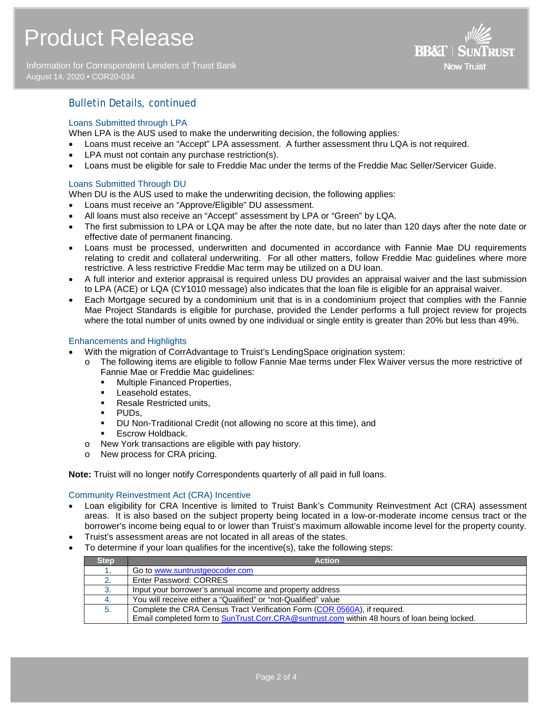Information for Correspondent Lenders of Truist Bank August 14, 2020 **•** COR20-034



## Bulletin Details, continued

#### Loans Submitted through LPA

When LPA is the AUS used to make the underwriting decision, the following applies:

- Loans must receive an "Accept" LPA assessment. A further assessment thru LQA is not required.
- LPA must not contain any purchase restriction(s).
- Loans must be eligible for sale to Freddie Mac under the terms of the Freddie Mac Seller/Servicer Guide.

#### Loans Submitted Through DU

When DU is the AUS used to make the underwriting decision, the following applies:

- Loans must receive an "Approve/Eligible" DU assessment.
- All loans must also receive an "Accept" assessment by LPA or "Green" by LQA.
- The first submission to LPA or LQA may be after the note date, but no later than 120 days after the note date or effective date of permanent financing.
- Loans must be processed, underwritten and documented in accordance with Fannie Mae DU requirements relating to credit and collateral underwriting. For all other matters, follow Freddie Mac guidelines where more restrictive. A less restrictive Freddie Mac term may be utilized on a DU loan.
- A full interior and exterior appraisal is required unless DU provides an appraisal waiver and the last submission to LPA (ACE) or LQA (CY1010 message) also indicates that the loan file is eligible for an appraisal waiver.
- Each Mortgage secured by a condominium unit that is in a condominium project that complies with the Fannie Mae Project Standards is eligible for purchase, provided the Lender performs a full project review for projects where the total number of units owned by one individual or single entity is greater than 20% but less than 49%.

#### Enhancements and Highlights

- With the migration of CorrAdvantage to Truist's LendingSpace origination system:
	- o The following items are eligible to follow Fannie Mae terms under Flex Waiver versus the more restrictive of Fannie Mae or Freddie Mac guidelines:
		- **Multiple Financed Properties,**
		- **Leasehold estates,**
		- Resale Restricted units,
		- PUDs,
		- DU Non-Traditional Credit (not allowing no score at this time), and
		- **Excrow Holdback.**
	- o New York transactions are eligible with pay history.
	- o New process for CRA pricing.

**Note:** Truist will no longer notify Correspondents quarterly of all paid in full loans.

#### Community Reinvestment Act (CRA) Incentive

- Loan eligibility for CRA Incentive is limited to Truist Bank's Community Reinvestment Act (CRA) assessment areas. It is also based on the subject property being located in a low-or-moderate income census tract or the borrower's income being equal to or lower than Truist's maximum allowable income level for the property county.
- Truist's assessment areas are not located in all areas of the states.
- To determine if your loan qualifies for the incentive(s), take the following steps:

| <b>Step</b>  | <b>Action</b>                                                                                |
|--------------|----------------------------------------------------------------------------------------------|
|              | Go to www.suntrustgeocoder.com                                                               |
| $\mathbf{2}$ | Enter Password: CORRES                                                                       |
| 3.           | Input your borrower's annual income and property address                                     |
| -4.          | You will receive either a "Qualified" or "not-Qualified" value                               |
| 5.           | Complete the CRA Census Tract Verification Form (COR 0560A), if required.                    |
|              | Email completed form to SunTrust.Corr.CRA@suntrust.com within 48 hours of loan being locked. |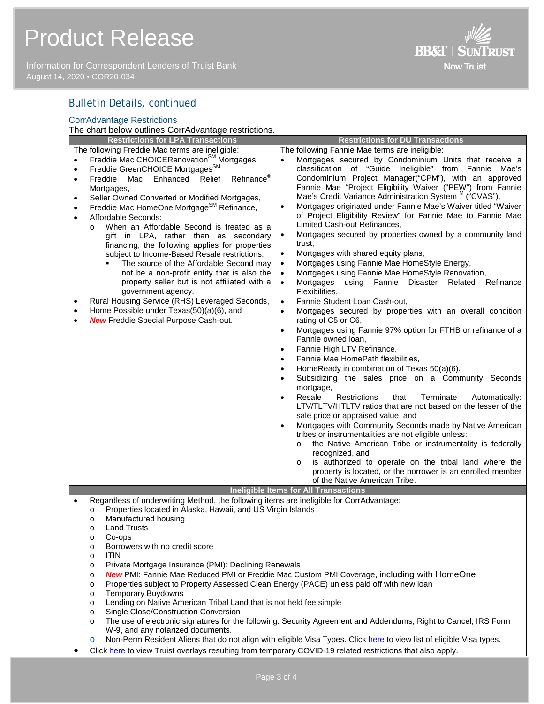# Product Release

Information for Correspondent Lenders of Truist Bank August 14, 2020 **•** COR20-034



## Bulletin Details, continued

| <b>CorrAdvantage Restrictions</b>                                                                                                                                                                                                                                                                                                                                                                                                                                                                                                                                                                                                                                                                                                                                                                                                                                                                                                                                                                    |                                                                                                                                                                                                                                                                                                                                                                                                                                                                                                                                                                                                                                                                                                                                                                                                                                                                                                                                                                                                                                                                                                                                                                                                                                                                                                                                                                                                                                                                                                                                                                                                                                                                                                                                                                                                                                                                                                                                                                                                                      |  |  |  |
|------------------------------------------------------------------------------------------------------------------------------------------------------------------------------------------------------------------------------------------------------------------------------------------------------------------------------------------------------------------------------------------------------------------------------------------------------------------------------------------------------------------------------------------------------------------------------------------------------------------------------------------------------------------------------------------------------------------------------------------------------------------------------------------------------------------------------------------------------------------------------------------------------------------------------------------------------------------------------------------------------|----------------------------------------------------------------------------------------------------------------------------------------------------------------------------------------------------------------------------------------------------------------------------------------------------------------------------------------------------------------------------------------------------------------------------------------------------------------------------------------------------------------------------------------------------------------------------------------------------------------------------------------------------------------------------------------------------------------------------------------------------------------------------------------------------------------------------------------------------------------------------------------------------------------------------------------------------------------------------------------------------------------------------------------------------------------------------------------------------------------------------------------------------------------------------------------------------------------------------------------------------------------------------------------------------------------------------------------------------------------------------------------------------------------------------------------------------------------------------------------------------------------------------------------------------------------------------------------------------------------------------------------------------------------------------------------------------------------------------------------------------------------------------------------------------------------------------------------------------------------------------------------------------------------------------------------------------------------------------------------------------------------------|--|--|--|
| The chart below outlines CorrAdvantage restrictions.                                                                                                                                                                                                                                                                                                                                                                                                                                                                                                                                                                                                                                                                                                                                                                                                                                                                                                                                                 |                                                                                                                                                                                                                                                                                                                                                                                                                                                                                                                                                                                                                                                                                                                                                                                                                                                                                                                                                                                                                                                                                                                                                                                                                                                                                                                                                                                                                                                                                                                                                                                                                                                                                                                                                                                                                                                                                                                                                                                                                      |  |  |  |
| <b>Restrictions for LPA Transactions</b>                                                                                                                                                                                                                                                                                                                                                                                                                                                                                                                                                                                                                                                                                                                                                                                                                                                                                                                                                             | <b>Restrictions for DU Transactions</b>                                                                                                                                                                                                                                                                                                                                                                                                                                                                                                                                                                                                                                                                                                                                                                                                                                                                                                                                                                                                                                                                                                                                                                                                                                                                                                                                                                                                                                                                                                                                                                                                                                                                                                                                                                                                                                                                                                                                                                              |  |  |  |
| The following Freddie Mac terms are ineligible:<br>Freddie Mac CHOICERenovation <sup>SM</sup> Mortgages,<br>$\bullet$<br>Freddie GreenCHOICE Mortgages <sup>SM</sup><br>$\bullet$<br>Refinance®<br>Freddie<br>Mac<br>Enhanced<br>Relief<br>$\bullet$<br>Mortgages,<br>Seller Owned Converted or Modified Mortgages,<br>$\bullet$<br>Freddie Mac HomeOne Mortgage <sup>SM</sup> Refinance,<br>$\bullet$<br>Affordable Seconds:<br>$\bullet$<br>When an Affordable Second is treated as a<br>$\Omega$<br>gift in LPA, rather than as secondary<br>financing, the following applies for properties<br>subject to Income-Based Resale restrictions:<br>The source of the Affordable Second may<br>not be a non-profit entity that is also the<br>property seller but is not affiliated with a<br>government agency.<br>Rural Housing Service (RHS) Leveraged Seconds,<br>$\bullet$<br>Home Possible under Texas(50)(a)(6), and<br>$\bullet$<br><b>New Freddie Special Purpose Cash-out.</b><br>$\bullet$ | The following Fannie Mae terms are ineligible:<br>Mortgages secured by Condominium Units that receive a<br>$\bullet$<br>classification of "Guide Ineligible" from Fannie<br>Mae's<br>Condominium Project Manager("CPM"), with an approved<br>Fannie Mae "Project Eligibility Waiver ("PEW") from Fannie<br>Mae's Credit Variance Administration System <sup>M</sup> ("CVAS"),<br>Mortgages originated under Fannie Mae's Waiver titled "Waiver<br>$\bullet$<br>of Project Eligibility Review" for Fannie Mae to Fannie Mae<br>Limited Cash-out Refinances,<br>Mortgages secured by properties owned by a community land<br>$\bullet$<br>trust.<br>Mortgages with shared equity plans,<br>$\bullet$<br>Mortgages using Fannie Mae HomeStyle Energy,<br>$\bullet$<br>Mortgages using Fannie Mae HomeStyle Renovation,<br>$\bullet$<br>Mortgages<br>using<br>Fannie<br>Disaster<br>Related<br>Refinance<br>$\bullet$<br>Flexibilities,<br>Fannie Student Loan Cash-out,<br>$\bullet$<br>Mortgages secured by properties with an overall condition<br>$\bullet$<br>rating of C5 or C6,<br>Mortgages using Fannie 97% option for FTHB or refinance of a<br>$\bullet$<br>Fannie owned loan,<br>Fannie High LTV Refinance,<br>$\bullet$<br>Fannie Mae HomePath flexibilities,<br>$\bullet$<br>HomeReady in combination of Texas 50(a)(6).<br>$\bullet$<br>Subsidizing the sales price on a Community Seconds<br>$\bullet$<br>mortgage,<br>that<br>Terminate<br>Resale<br>Restrictions<br>Automatically:<br>$\bullet$<br>LTV/TLTV/HTLTV ratios that are not based on the lesser of the<br>sale price or appraised value, and<br>Mortgages with Community Seconds made by Native American<br>$\bullet$<br>tribes or instrumentalities are not eligible unless:<br>the Native American Tribe or instrumentality is federally<br>$\Omega$<br>recognized, and<br>is authorized to operate on the tribal land where the<br>$\circ$<br>property is located, or the borrower is an enrolled member<br>of the Native American Tribe. |  |  |  |
| <b>Ineligible Items for All Transactions</b>                                                                                                                                                                                                                                                                                                                                                                                                                                                                                                                                                                                                                                                                                                                                                                                                                                                                                                                                                         |                                                                                                                                                                                                                                                                                                                                                                                                                                                                                                                                                                                                                                                                                                                                                                                                                                                                                                                                                                                                                                                                                                                                                                                                                                                                                                                                                                                                                                                                                                                                                                                                                                                                                                                                                                                                                                                                                                                                                                                                                      |  |  |  |
| Regardless of underwriting Method, the following items are ineligible for CorrAdvantage:<br>$\bullet$                                                                                                                                                                                                                                                                                                                                                                                                                                                                                                                                                                                                                                                                                                                                                                                                                                                                                                |                                                                                                                                                                                                                                                                                                                                                                                                                                                                                                                                                                                                                                                                                                                                                                                                                                                                                                                                                                                                                                                                                                                                                                                                                                                                                                                                                                                                                                                                                                                                                                                                                                                                                                                                                                                                                                                                                                                                                                                                                      |  |  |  |

- o Properties located in Alaska, Hawaii, and US Virgin Islands
	- o Manufactured housing
	- o Land Trusts
	- o Co-ops
	- o Borrowers with no credit score
	- o ITIN
	- o Private Mortgage Insurance (PMI): Declining Renewals
	- o *New* PMI: Fannie Mae Reduced PMI or Freddie Mac Custom PMI Coverage, including with HomeOne
	- o Properties subject to Property Assessed Clean Energy (PACE) unless paid off with new loan<br>
	o Temporary Buydowns
	- o Temporary Buydowns<br>o Lending on Native Ame
	- Lending on Native American Tribal Land that is not held fee simple
	- o Single Close/Construction Conversion
	- o The use of electronic signatures for the following: Security Agreement and Addendums, Right to Cancel, IRS Form W-9, and any notarized documents.
	- o Non-Perm Resident Aliens that do not align with eligible Visa Types. Clic[k here t](http://www.truistsellerguide.com/manual/cor/products/Cr20-034Visa.pdf)o view list of eligible Visa types.
- Click [here](http://www.truistsellerguide.com/manual/cor/products/Cr20-034COVID.pdf) to view Truist overlays resulting from temporary COVID-19 related restrictions that also apply.